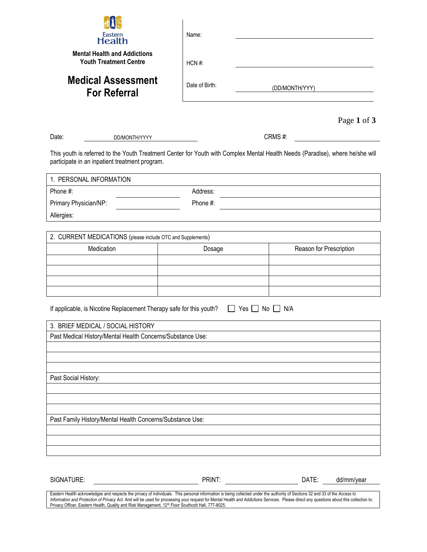| Eastern<br><b>Health</b>                                                                                                                                                        | Name:          |           |                         |
|---------------------------------------------------------------------------------------------------------------------------------------------------------------------------------|----------------|-----------|-------------------------|
| <b>Mental Health and Addictions</b><br><b>Youth Treatment Centre</b>                                                                                                            | HCN#:          |           |                         |
| <b>Medical Assessment</b><br><b>For Referral</b>                                                                                                                                | Date of Birth: |           | (DD/MONTH/YYY)          |
|                                                                                                                                                                                 |                |           | Page 1 of 3             |
| Date:<br>DD/MONTH/YYYY                                                                                                                                                          |                |           | CRMS#:                  |
| This youth is referred to the Youth Treatment Center for Youth with Complex Mental Health Needs (Paradise), where he/she will<br>participate in an inpatient treatment program. |                |           |                         |
| 1. PERSONAL INFORMATION                                                                                                                                                         |                |           |                         |
| Phone #:                                                                                                                                                                        | Address:       |           |                         |
| Primary Physician/NP:                                                                                                                                                           | Phone #:       |           |                         |
| Allergies:                                                                                                                                                                      |                |           |                         |
|                                                                                                                                                                                 |                |           |                         |
| 2. CURRENT MEDICATIONS (please include OTC and Supplements)                                                                                                                     |                |           |                         |
| Medication                                                                                                                                                                      | Dosage         |           | Reason for Prescription |
|                                                                                                                                                                                 |                |           |                         |
|                                                                                                                                                                                 |                |           |                         |
|                                                                                                                                                                                 |                |           |                         |
| If applicable, is Nicotine Replacement Therapy safe for this youth?                                                                                                             |                | Yes<br>No | N/A                     |
| 3. BRIEF MEDICAL / SOCIAL HISTORY                                                                                                                                               |                |           |                         |
| Past Medical History/Mental Health Concerns/Substance Use:                                                                                                                      |                |           |                         |
|                                                                                                                                                                                 |                |           |                         |
|                                                                                                                                                                                 |                |           |                         |
| Past Social History:                                                                                                                                                            |                |           |                         |
|                                                                                                                                                                                 |                |           |                         |
|                                                                                                                                                                                 |                |           |                         |
|                                                                                                                                                                                 |                |           |                         |
| Past Family History/Mental Health Concerns/Substance Use:                                                                                                                       |                |           |                         |
|                                                                                                                                                                                 |                |           |                         |
|                                                                                                                                                                                 |                |           |                         |
|                                                                                                                                                                                 |                |           |                         |
|                                                                                                                                                                                 |                |           |                         |
| SIGNATURE:                                                                                                                                                                      | PRINT:         |           | DATE:<br>dd/mm/year     |

Eastern Health acknowledges and respects the privacy of individuals. This personal information is being collected under the authority of Sections 32 and 33 of the *Access to*  I*nformation and Protection of Privacy Act.* And will be used for processing your request for Mental Health and Addictions Services. Please direct any questions about this collection to:<br>Privacy Officer, Eastern Health, Qu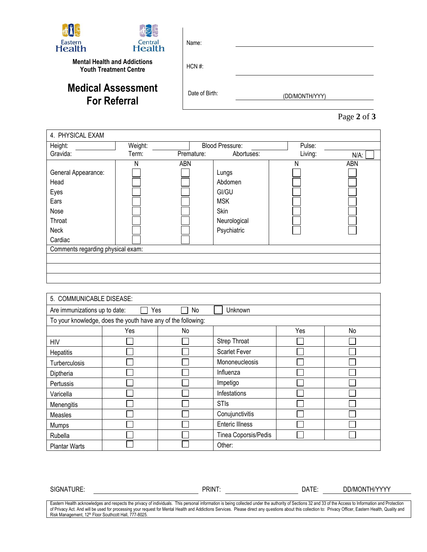| Eastern<br><b>Health</b> | $\boxtimes$<br>Central<br><b>Health</b>                              | Name:          |                |
|--------------------------|----------------------------------------------------------------------|----------------|----------------|
|                          | <b>Mental Health and Addictions</b><br><b>Youth Treatment Centre</b> | $HCN \#$ :     |                |
|                          | <b>Medical Assessment</b><br><b>For Referral</b>                     | Date of Birth: | (DD/MONTH/YYY) |

|  | Page 2 of 3 |  |  |  |
|--|-------------|--|--|--|
|--|-------------|--|--|--|

| Height:                                                                          | Weight: |            | <b>Blood Pressure:</b>                                                         | Pulse:  |         |
|----------------------------------------------------------------------------------|---------|------------|--------------------------------------------------------------------------------|---------|---------|
| Gravida:                                                                         | Term:   | Premature: | Abortuses:                                                                     | Living: | $N/A$ : |
| General Appearance:<br>Head<br>Eyes<br>Ears<br>Nose<br>Throat<br>Neck<br>Cardiac | Ν       | ABN        | Lungs<br>Abdomen<br>GI/GU<br><b>MSK</b><br>Skin<br>Neurological<br>Psychiatric | Ν       | ABN     |
| Comments regarding physical exam:                                                |         |            |                                                                                |         |         |
|                                                                                  |         |            |                                                                                |         |         |
|                                                                                  |         |            |                                                                                |         |         |

| 5. COMMUNICABLE DISEASE:                              |                                                              |    |                        |     |    |
|-------------------------------------------------------|--------------------------------------------------------------|----|------------------------|-----|----|
| Yes<br>Unknown<br>Are immunizations up to date:<br>No |                                                              |    |                        |     |    |
|                                                       | To your knowledge, does the youth have any of the following: |    |                        |     |    |
|                                                       | Yes                                                          | No |                        | Yes | No |
| HIV                                                   |                                                              |    | Strep Throat           |     |    |
| Hepatitis                                             |                                                              |    | <b>Scarlet Fever</b>   |     |    |
| <b>Turberculosis</b>                                  |                                                              |    | Mononeucleosis         |     |    |
| Diptheria                                             |                                                              |    | Influenza              |     |    |
| Pertussis                                             |                                                              |    | Impetigo               |     |    |
| Varicella                                             |                                                              |    | Infestations           |     |    |
| Menengitis                                            |                                                              |    | <b>STIs</b>            |     |    |
| <b>Measles</b>                                        |                                                              |    | Conujunctivitis        |     |    |
| <b>Mumps</b>                                          |                                                              |    | <b>Enteric Illness</b> |     |    |
| Rubella                                               |                                                              |    | Tinea Coporsis/Pedis   |     |    |
| <b>Plantar Warts</b>                                  |                                                              |    | Other:                 |     |    |

SIGNATURE: PRINT: DATE: DD/MONTH/YYYY

Eastern Health acknowledges and respects the privacy of individuals. This personal information is being collected under the authority of Sections 32 and 33 of the Access to Information and Protection of Privacy Act. And will be used for processing your request for Mental Health and Addictions Services. Please direct any questions about this collection to: Privacy Officer, Eastern Health, Quality and<br>Risk Management, 12